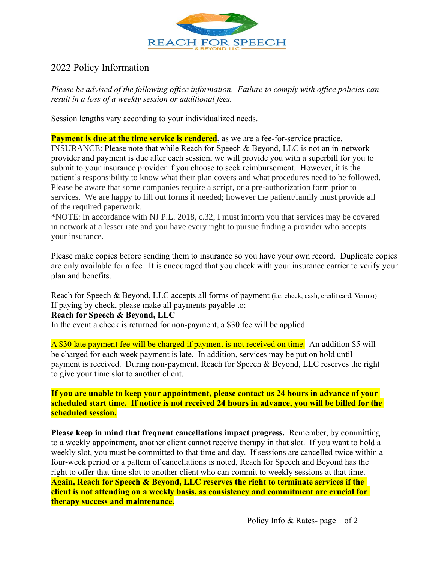

## 2022 Policy Information

*Please be advised of the following office information. Failure to comply with office policies can result in a loss of a weekly session or additional fees.*

Session lengths vary according to your individualized needs.

**Payment is due at the time service is rendered,** as we are a fee-for-service practice. INSURANCE: Please note that while Reach for Speech & Beyond, LLC is not an in-network provider and payment is due after each session, we will provide you with a superbill for you to submit to your insurance provider if you choose to seek reimbursement. However, it is the patient's responsibility to know what their plan covers and what procedures need to be followed. Please be aware that some companies require a script, or a pre-authorization form prior to services. We are happy to fill out forms if needed; however the patient/family must provide all of the required paperwork.

\*NOTE: In accordance with NJ P.L. 2018, c.32, I must inform you that services may be covered in network at a lesser rate and you have every right to pursue finding a provider who accepts your insurance.

Please make copies before sending them to insurance so you have your own record. Duplicate copies are only available for a fee. It is encouraged that you check with your insurance carrier to verify your plan and benefits.

Reach for Speech & Beyond, LLC accepts all forms of payment (i.e. check, cash, credit card, Venmo) If paying by check, please make all payments payable to:

## **Reach for Speech & Beyond, LLC**

In the event a check is returned for non-payment, a \$30 fee will be applied.

A \$30 late payment fee will be charged if payment is not received on time. An addition \$5 will be charged for each week payment is late. In addition, services may be put on hold until payment is received. During non-payment, Reach for Speech & Beyond, LLC reserves the right to give your time slot to another client.

**If you are unable to keep your appointment, please contact us 24 hours in advance of your scheduled start time. If notice is not received 24 hours in advance, you will be billed for the scheduled session.**

**Please keep in mind that frequent cancellations impact progress.** Remember, by committing to a weekly appointment, another client cannot receive therapy in that slot. If you want to hold a weekly slot, you must be committed to that time and day. If sessions are cancelled twice within a four-week period or a pattern of cancellations is noted, Reach for Speech and Beyond has the right to offer that time slot to another client who can commit to weekly sessions at that time. **Again, Reach for Speech & Beyond, LLC reserves the right to terminate services if the client is not attending on a weekly basis, as consistency and commitment are crucial for therapy success and maintenance.**